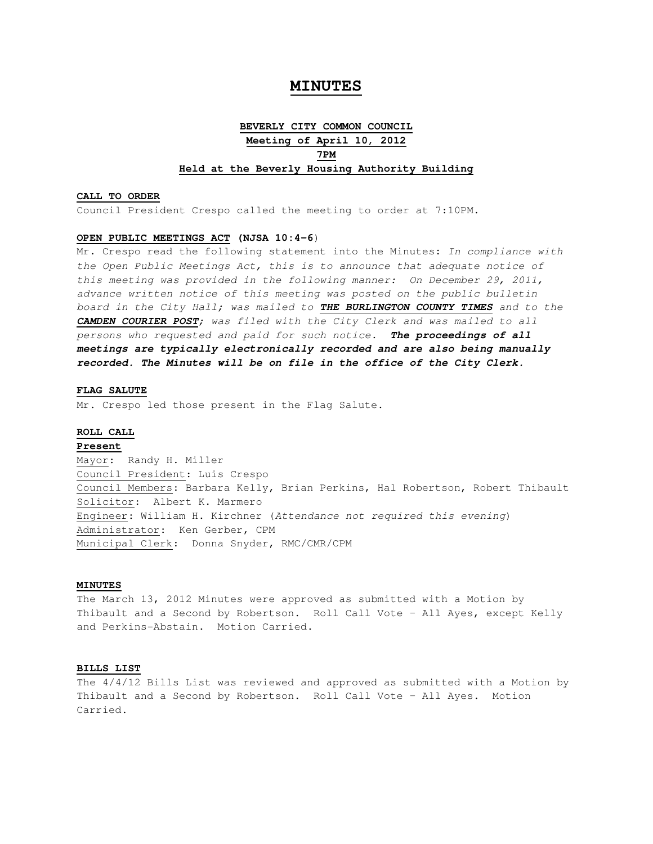# **MINUTES**

# **BEVERLY CITY COMMON COUNCIL Meeting of April 10, 2012 7PM Held at the Beverly Housing Authority Building**

#### **CALL TO ORDER**

Council President Crespo called the meeting to order at 7:10PM.

#### **OPEN PUBLIC MEETINGS ACT (NJSA 10:4-6**)

Mr. Crespo read the following statement into the Minutes**:** In compliance with the Open Public Meetings Act, this is to announce that adequate notice of this meeting was provided in the following manner: On December 29, 2011, advance written notice of this meeting was posted on the public bulletin board in the City Hall; was mailed to **THE BURLINGTON COUNTY TIMES** and to the **CAMDEN COURIER POST**; was filed with the City Clerk and was mailed to all persons who requested and paid for such notice. **The proceedings of all meetings are typically electronically recorded and are also being manually recorded. The Minutes will be on file in the office of the City Clerk.** 

### **FLAG SALUTE**

Mr. Crespo led those present in the Flag Salute.

### **ROLL CALL**

**Present** Mayor: Randy H. Miller Council President: Luis Crespo Council Members: Barbara Kelly, Brian Perkins, Hal Robertson, Robert Thibault Solicitor: Albert K. Marmero Engineer: William H. Kirchner (Attendance not required this evening) Administrator: Ken Gerber, CPM Municipal Clerk: Donna Snyder, RMC/CMR/CPM

# **MINUTES**

The March 13, 2012 Minutes were approved as submitted with a Motion by Thibault and a Second by Robertson. Roll Call Vote – All Ayes, except Kelly and Perkins-Abstain. Motion Carried.

## **BILLS LIST**

The 4/4/12 Bills List was reviewed and approved as submitted with a Motion by Thibault and a Second by Robertson. Roll Call Vote – All Ayes. Motion Carried.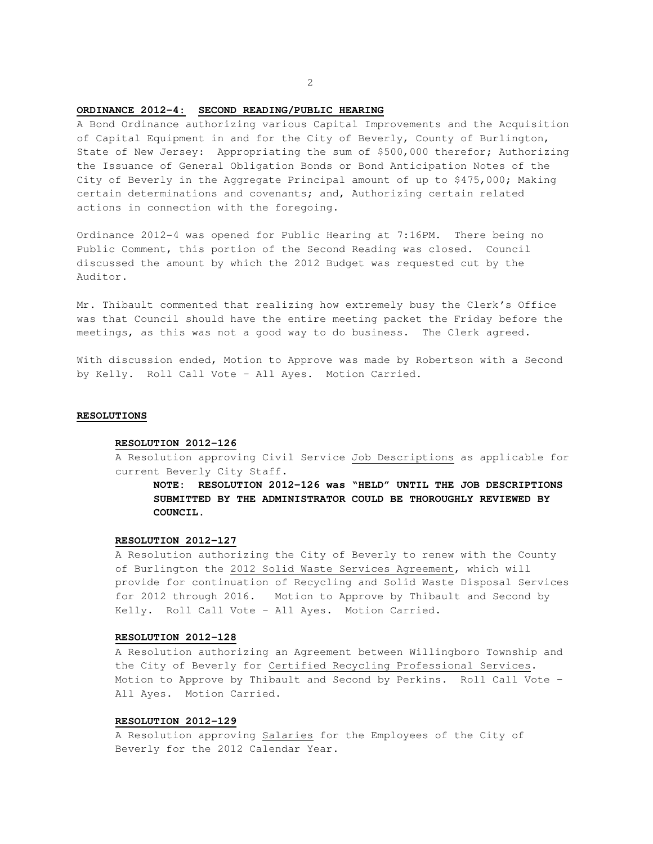# **ORDINANCE 2012-4: SECOND READING/PUBLIC HEARING**

A Bond Ordinance authorizing various Capital Improvements and the Acquisition of Capital Equipment in and for the City of Beverly, County of Burlington, State of New Jersey: Appropriating the sum of \$500,000 therefor; Authorizing the Issuance of General Obligation Bonds or Bond Anticipation Notes of the City of Beverly in the Aggregate Principal amount of up to \$475,000; Making certain determinations and covenants; and, Authorizing certain related actions in connection with the foregoing.

Ordinance 2012-4 was opened for Public Hearing at 7:16PM. There being no Public Comment, this portion of the Second Reading was closed. Council discussed the amount by which the 2012 Budget was requested cut by the Auditor.

Mr. Thibault commented that realizing how extremely busy the Clerk's Office was that Council should have the entire meeting packet the Friday before the meetings, as this was not a good way to do business. The Clerk agreed.

With discussion ended, Motion to Approve was made by Robertson with a Second by Kelly. Roll Call Vote – All Ayes. Motion Carried.

#### **RESOLUTIONS**

#### **RESOLUTION 2012-126**

A Resolution approving Civil Service Job Descriptions as applicable for current Beverly City Staff.

**NOTE: RESOLUTION 2012-126 was "HELD" UNTIL THE JOB DESCRIPTIONS SUBMITTED BY THE ADMINISTRATOR COULD BE THOROUGHLY REVIEWED BY COUNCIL.** 

### **RESOLUTION 2012-127**

A Resolution authorizing the City of Beverly to renew with the County of Burlington the 2012 Solid Waste Services Agreement, which will provide for continuation of Recycling and Solid Waste Disposal Services for 2012 through 2016. Motion to Approve by Thibault and Second by Kelly. Roll Call Vote – All Ayes. Motion Carried.

#### **RESOLUTION 2012-128**

A Resolution authorizing an Agreement between Willingboro Township and the City of Beverly for Certified Recycling Professional Services. Motion to Approve by Thibault and Second by Perkins. Roll Call Vote – All Ayes. Motion Carried.

### **RESOLUTION 2012-129**

A Resolution approving Salaries for the Employees of the City of Beverly for the 2012 Calendar Year.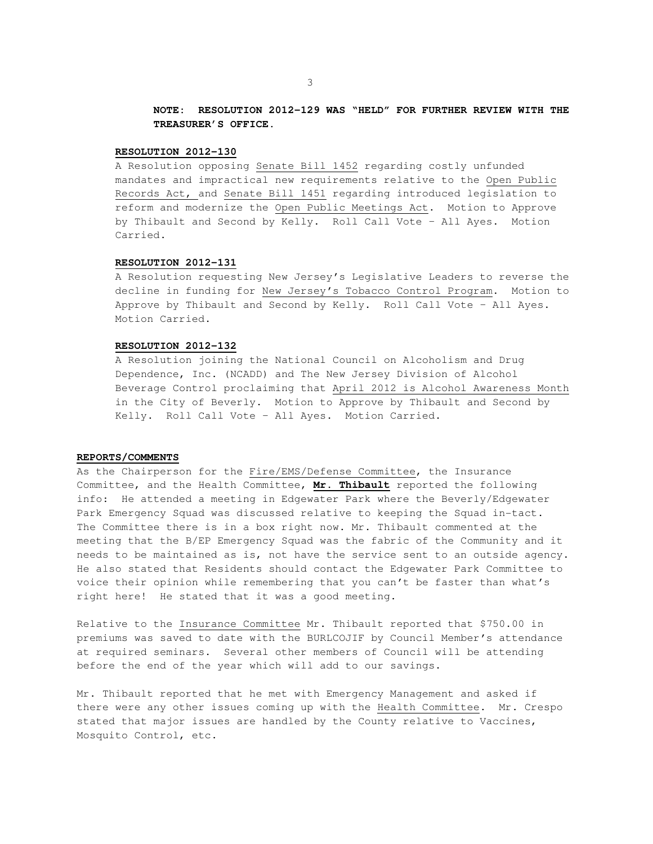# **NOTE: RESOLUTION 2012-129 WAS "HELD" FOR FURTHER REVIEW WITH THE TREASURER'S OFFICE.**

#### **RESOLUTION 2012-130**

A Resolution opposing Senate Bill 1452 regarding costly unfunded mandates and impractical new requirements relative to the Open Public Records Act, and Senate Bill 1451 regarding introduced legislation to reform and modernize the Open Public Meetings Act. Motion to Approve by Thibault and Second by Kelly. Roll Call Vote – All Ayes. Motion Carried.

# **RESOLUTION 2012-131**

A Resolution requesting New Jersey's Legislative Leaders to reverse the decline in funding for New Jersey's Tobacco Control Program. Motion to Approve by Thibault and Second by Kelly. Roll Call Vote – All Ayes. Motion Carried.

#### **RESOLUTION 2012-132**

A Resolution joining the National Council on Alcoholism and Drug Dependence, Inc. (NCADD) and The New Jersey Division of Alcohol Beverage Control proclaiming that April 2012 is Alcohol Awareness Month in the City of Beverly. Motion to Approve by Thibault and Second by Kelly. Roll Call Vote – All Ayes. Motion Carried.

## **REPORTS/COMMENTS**

As the Chairperson for the Fire/EMS/Defense Committee, the Insurance Committee, and the Health Committee, **Mr. Thibault** reported the following info: He attended a meeting in Edgewater Park where the Beverly/Edgewater Park Emergency Squad was discussed relative to keeping the Squad in-tact. The Committee there is in a box right now. Mr. Thibault commented at the meeting that the B/EP Emergency Squad was the fabric of the Community and it needs to be maintained as is, not have the service sent to an outside agency. He also stated that Residents should contact the Edgewater Park Committee to voice their opinion while remembering that you can't be faster than what's right here! He stated that it was a good meeting.

Relative to the Insurance Committee Mr. Thibault reported that \$750.00 in premiums was saved to date with the BURLCOJIF by Council Member's attendance at required seminars. Several other members of Council will be attending before the end of the year which will add to our savings.

Mr. Thibault reported that he met with Emergency Management and asked if there were any other issues coming up with the Health Committee. Mr. Crespo stated that major issues are handled by the County relative to Vaccines, Mosquito Control, etc.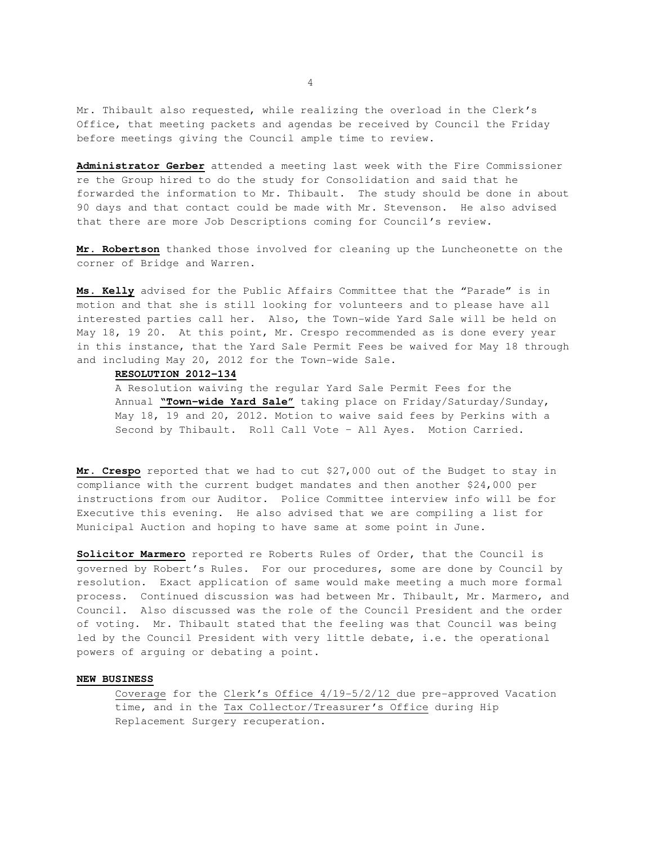Mr. Thibault also requested, while realizing the overload in the Clerk's Office, that meeting packets and agendas be received by Council the Friday before meetings giving the Council ample time to review.

**Administrator Gerber** attended a meeting last week with the Fire Commissioner re the Group hired to do the study for Consolidation and said that he forwarded the information to Mr. Thibault. The study should be done in about 90 days and that contact could be made with Mr. Stevenson. He also advised that there are more Job Descriptions coming for Council's review.

**Mr. Robertson** thanked those involved for cleaning up the Luncheonette on the corner of Bridge and Warren.

**Ms. Kelly** advised for the Public Affairs Committee that the "Parade" is in motion and that she is still looking for volunteers and to please have all interested parties call her. Also, the Town-wide Yard Sale will be held on May 18, 19 20. At this point, Mr. Crespo recommended as is done every year in this instance, that the Yard Sale Permit Fees be waived for May 18 through and including May 20, 2012 for the Town-wide Sale.

### **RESOLUTION 2012-134**

 A Resolution waiving the regular Yard Sale Permit Fees for the Annual **"Town-wide Yard Sale"** taking place on Friday/Saturday/Sunday, May 18, 19 and 20, 2012. Motion to waive said fees by Perkins with a Second by Thibault. Roll Call Vote – All Ayes. Motion Carried.

**Mr. Crespo** reported that we had to cut \$27,000 out of the Budget to stay in compliance with the current budget mandates and then another \$24,000 per instructions from our Auditor. Police Committee interview info will be for Executive this evening. He also advised that we are compiling a list for Municipal Auction and hoping to have same at some point in June.

**Solicitor Marmero** reported re Roberts Rules of Order, that the Council is governed by Robert's Rules. For our procedures, some are done by Council by resolution. Exact application of same would make meeting a much more formal process. Continued discussion was had between Mr. Thibault, Mr. Marmero, and Council. Also discussed was the role of the Council President and the order of voting. Mr. Thibault stated that the feeling was that Council was being led by the Council President with very little debate, i.e. the operational powers of arguing or debating a point.

# **NEW BUSINESS**

 Coverage for the Clerk's Office 4/19-5/2/12 due pre-approved Vacation time, and in the Tax Collector/Treasurer's Office during Hip Replacement Surgery recuperation.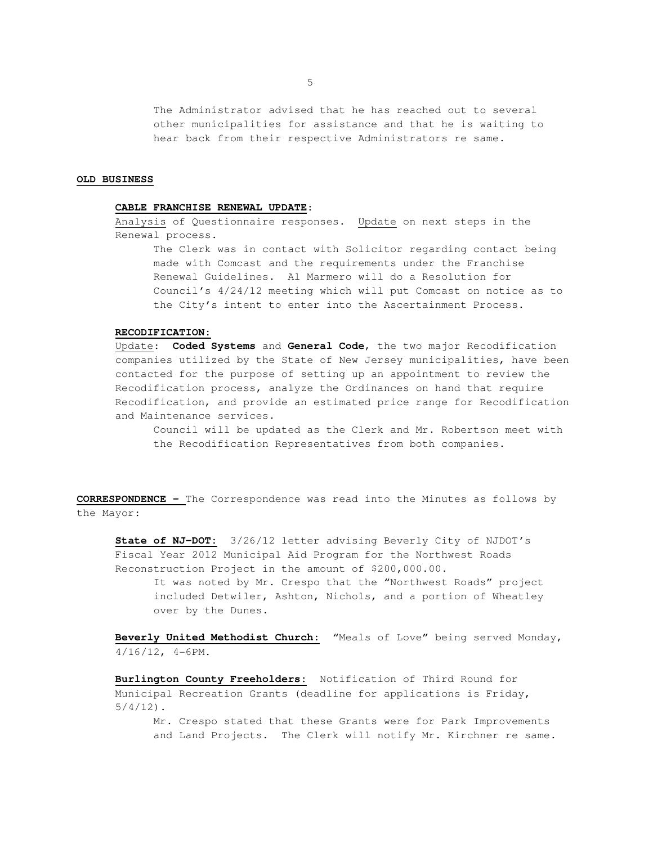The Administrator advised that he has reached out to several other municipalities for assistance and that he is waiting to hear back from their respective Administrators re same.

#### **OLD BUSINESS**

# **CABLE FRANCHISE RENEWAL UPDATE**:

 Analysis of Questionnaire responses. Update on next steps in the Renewal process.

 The Clerk was in contact with Solicitor regarding contact being made with Comcast and the requirements under the Franchise Renewal Guidelines. Al Marmero will do a Resolution for Council's 4/24/12 meeting which will put Comcast on notice as to the City's intent to enter into the Ascertainment Process.

### **RECODIFICATION:**

 Update: **Coded Systems** and **General Code**, the two major Recodification companies utilized by the State of New Jersey municipalities, have been contacted for the purpose of setting up an appointment to review the Recodification process, analyze the Ordinances on hand that require Recodification, and provide an estimated price range for Recodification and Maintenance services.

 Council will be updated as the Clerk and Mr. Robertson meet with the Recodification Representatives from both companies.

**CORRESPONDENCE –** The Correspondence was read into the Minutes as follows by the Mayor:

 **State of NJ-DOT:** 3/26/12 letter advising Beverly City of NJDOT's Fiscal Year 2012 Municipal Aid Program for the Northwest Roads Reconstruction Project in the amount of \$200,000.00.

 It was noted by Mr. Crespo that the "Northwest Roads" project included Detwiler, Ashton, Nichols, and a portion of Wheatley over by the Dunes.

 **Beverly United Methodist Church:** "Meals of Love" being served Monday, 4/16/12, 4-6PM.

 **Burlington County Freeholders:** Notification of Third Round for Municipal Recreation Grants (deadline for applications is Friday,  $5/4/12$ ).

Mr. Crespo stated that these Grants were for Park Improvements and Land Projects. The Clerk will notify Mr. Kirchner re same.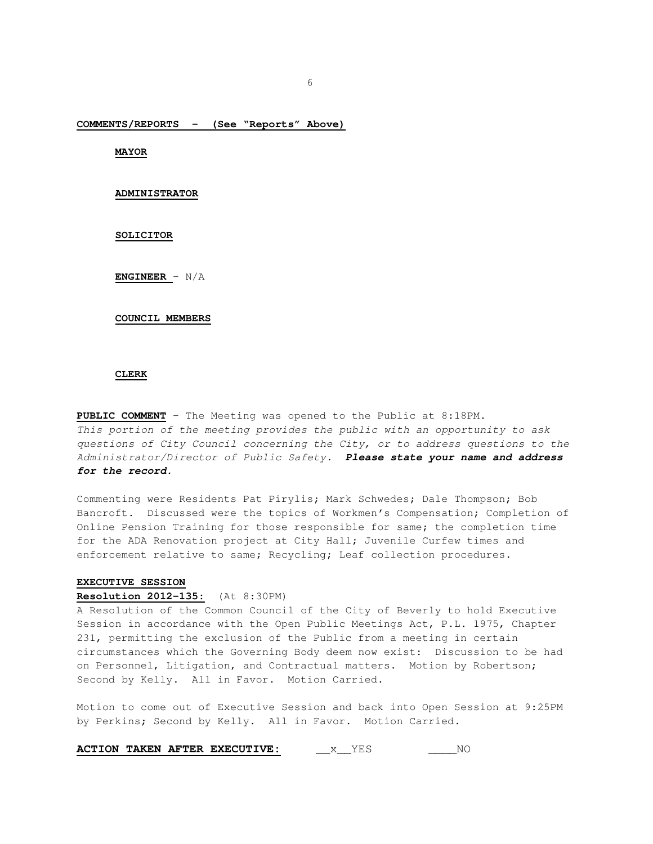**COMMENTS/REPORTS - (See "Reports" Above)**

**MAYOR** 

### **ADMINISTRATOR**

**SOLICITOR** 

**ENGINEER** – N/A

#### **COUNCIL MEMBERS**

#### **CLERK**

**PUBLIC COMMENT** – The Meeting was opened to the Public at 8:18PM. This portion of the meeting provides the public with an opportunity to ask questions of City Council concerning the City, or to address questions to the Administrator/Director of Public Safety. **Please state your name and address for the record.** 

Commenting were Residents Pat Pirylis; Mark Schwedes; Dale Thompson; Bob Bancroft. Discussed were the topics of Workmen's Compensation; Completion of Online Pension Training for those responsible for same; the completion time for the ADA Renovation project at City Hall; Juvenile Curfew times and enforcement relative to same; Recycling; Leaf collection procedures.

#### **EXECUTIVE SESSION**

#### **Resolution 2012-135:** (At 8:30PM)

A Resolution of the Common Council of the City of Beverly to hold Executive Session in accordance with the Open Public Meetings Act, P.L. 1975, Chapter 231, permitting the exclusion of the Public from a meeting in certain circumstances which the Governing Body deem now exist: Discussion to be had on Personnel, Litigation, and Contractual matters. Motion by Robertson; Second by Kelly. All in Favor. Motion Carried.

Motion to come out of Executive Session and back into Open Session at 9:25PM by Perkins; Second by Kelly. All in Favor. Motion Carried.

|  |  |  | <b>ACTION TAKEN AFTER EXECUTIVE:</b> |  | NΩ |
|--|--|--|--------------------------------------|--|----|
|--|--|--|--------------------------------------|--|----|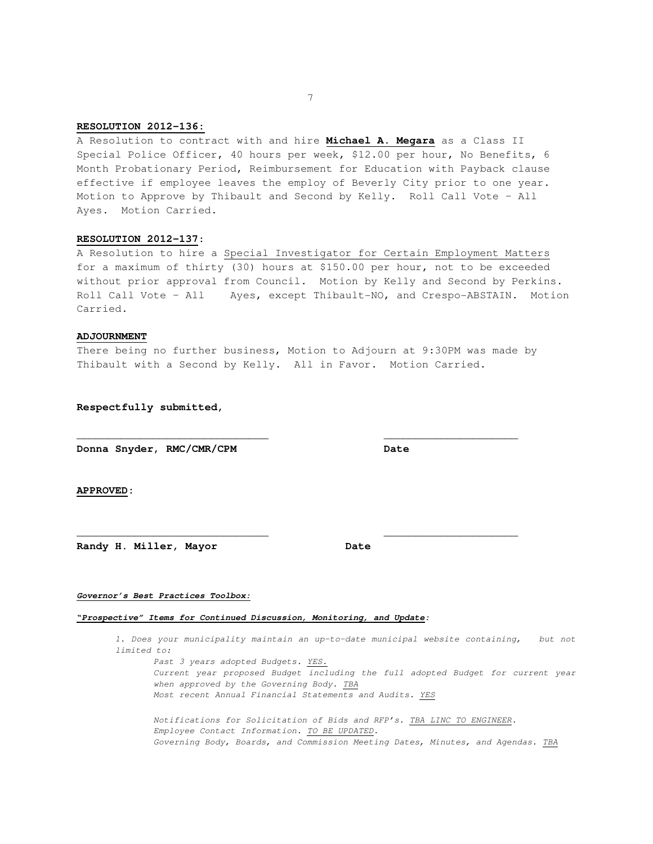## **RESOLUTION 2012-136:**

A Resolution to contract with and hire **Michael A. Megara** as a Class II Special Police Officer, 40 hours per week, \$12.00 per hour, No Benefits, 6 Month Probationary Period, Reimbursement for Education with Payback clause effective if employee leaves the employ of Beverly City prior to one year. Motion to Approve by Thibault and Second by Kelly. Roll Call Vote – All Ayes. Motion Carried.

### **RESOLUTION 2012-137**:

A Resolution to hire a Special Investigator for Certain Employment Matters for a maximum of thirty (30) hours at \$150.00 per hour, not to be exceeded without prior approval from Council. Motion by Kelly and Second by Perkins. Roll Call Vote – All Ayes, except Thibault-NO, and Crespo-ABSTAIN. Motion Carried.

#### **ADJOURNMENT**

There being no further business, Motion to Adjourn at 9:30PM was made by Thibault with a Second by Kelly. All in Favor. Motion Carried.

**\_\_\_\_\_\_\_\_\_\_\_\_\_\_\_\_\_\_\_\_\_\_\_\_\_\_\_\_\_\_ \_\_\_\_\_\_\_\_\_\_\_\_\_\_\_\_\_\_\_\_\_** 

**\_\_\_\_\_\_\_\_\_\_\_\_\_\_\_\_\_\_\_\_\_\_\_\_\_\_\_\_\_\_ \_\_\_\_\_\_\_\_\_\_\_\_\_\_\_\_\_\_\_\_\_** 

**Respectfully submitted,** 

**Donna Snyder, RMC/CMR/CPM Date** 

**APPROVED:** 

Randy H. Miller, Mayor **Date** 

#### **Governor's Best Practices Toolbox:**

### **"Prospective" Items for Continued Discussion, Monitoring, and Update:**

1. Does your municipality maintain an up-to-date municipal website containing, but not limited to:

Past 3 years adopted Budgets. YES. Current year proposed Budget including the full adopted Budget for current year when approved by the Governing Body. TBA Most recent Annual Financial Statements and Audits. YES Notifications for Solicitation of Bids and RFP's. TBA LINC TO ENGINEER. Employee Contact Information. TO BE UPDATED.

Governing Body, Boards, and Commission Meeting Dates, Minutes, and Agendas. TBA